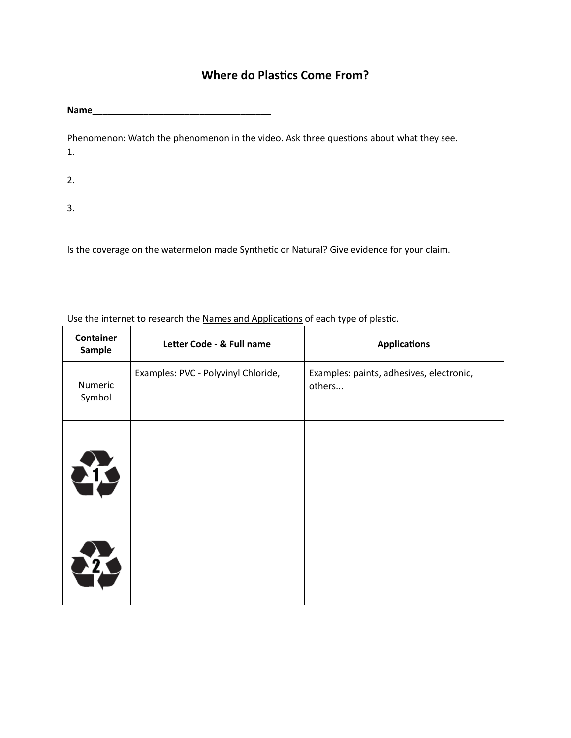## **Where do Plastics Come From?**

**Name\_\_\_\_\_\_\_\_\_\_\_\_\_\_\_\_\_\_\_\_\_\_\_\_\_\_\_\_\_\_\_\_\_\_\_**

Phenomenon: Watch the phenomenon in the video. Ask three questions about what they see. 1.

- 2.
- 3.

Is the coverage on the watermelon made Synthetic or Natural? Give evidence for your claim.

Use the internet to research the Names and Applications of each type of plastic.

| <b>Container</b><br><b>Sample</b> | Letter Code - & Full name           | <b>Applications</b>                                |
|-----------------------------------|-------------------------------------|----------------------------------------------------|
| Numeric<br>Symbol                 | Examples: PVC - Polyvinyl Chloride, | Examples: paints, adhesives, electronic,<br>others |
| LIS                               |                                     |                                                    |
| 22.                               |                                     |                                                    |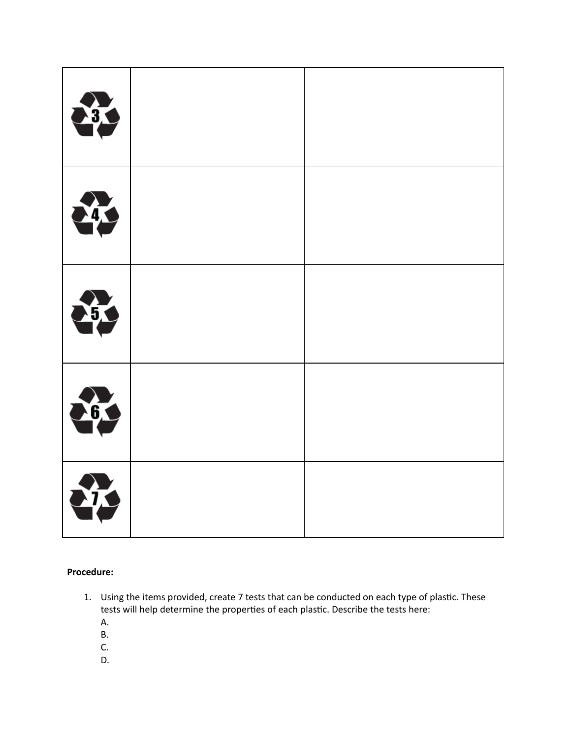| 33            |  |
|---------------|--|
| 43            |  |
| $\frac{1}{2}$ |  |
| 46            |  |
| 273           |  |

**Procedure:**

- 1. Using the items provided, create 7 tests that can be conducted on each type of plastic. These tests will help determine the properties of each plastic. Describe the tests here:
	- A.
	- B.
	- C.
	- D.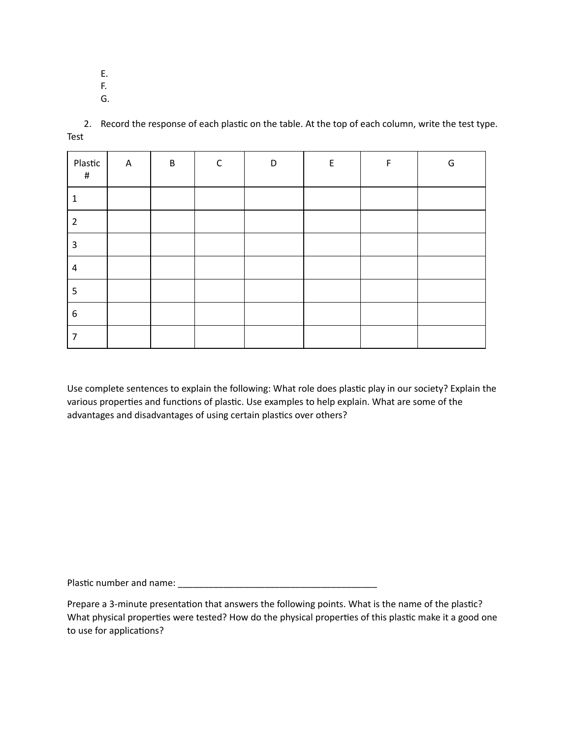- E.
- F.
- G.

2. Record the response of each plastic on the table. At the top of each column, write the test type. Test

| Plastic<br>#   | $\mathsf{A}$ | B | $\mathsf{C}$ | D | E | F | G |
|----------------|--------------|---|--------------|---|---|---|---|
| 1              |              |   |              |   |   |   |   |
| $\overline{2}$ |              |   |              |   |   |   |   |
| 3              |              |   |              |   |   |   |   |
| 4              |              |   |              |   |   |   |   |
| 5              |              |   |              |   |   |   |   |
| 6              |              |   |              |   |   |   |   |
| 7              |              |   |              |   |   |   |   |

Use complete sentences to explain the following: What role does plastic play in our society? Explain the various properties and functions of plastic. Use examples to help explain. What are some of the advantages and disadvantages of using certain plastics over others?

Plasc number and name: \_\_\_\_\_\_\_\_\_\_\_\_\_\_\_\_\_\_\_\_\_\_\_\_\_\_\_\_\_\_\_\_\_\_\_\_\_\_\_

Prepare a 3-minute presentation that answers the following points. What is the name of the plastic? What physical properties were tested? How do the physical properties of this plastic make it a good one to use for applications?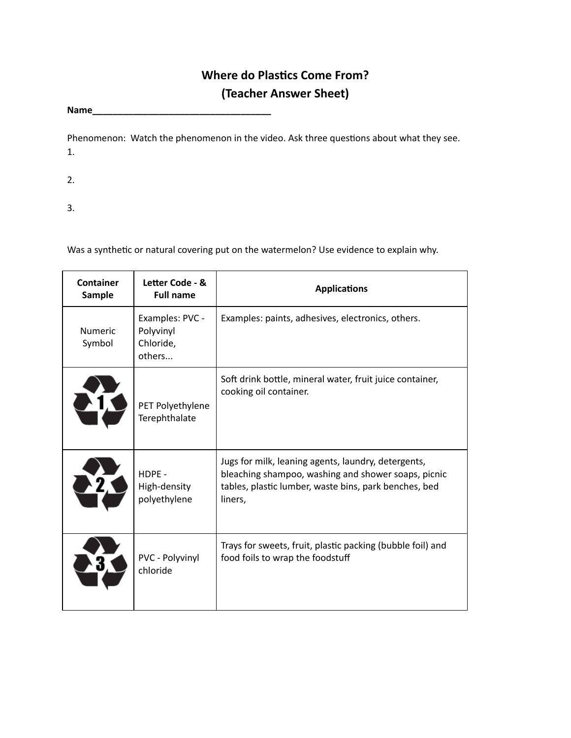## **Where do Plastics Come From? (Teacher Answer Sheet)**

**Name\_\_\_\_\_\_\_\_\_\_\_\_\_\_\_\_\_\_\_\_\_\_\_\_\_\_\_\_\_\_\_\_\_\_\_**

Phenomenon: Watch the phenomenon in the video. Ask three questions about what they see. 1.

2.

3.

Was a synthetic or natural covering put on the watermelon? Use evidence to explain why.

| Container<br><b>Sample</b> | Letter Code - &<br><b>Full name</b>                 | <b>Applications</b>                                                                                                                                                            |  |  |  |  |
|----------------------------|-----------------------------------------------------|--------------------------------------------------------------------------------------------------------------------------------------------------------------------------------|--|--|--|--|
| <b>Numeric</b><br>Symbol   | Examples: PVC -<br>Polyvinyl<br>Chloride,<br>others | Examples: paints, adhesives, electronics, others.                                                                                                                              |  |  |  |  |
|                            | PET Polyethylene<br>Terephthalate                   | Soft drink bottle, mineral water, fruit juice container,<br>cooking oil container.                                                                                             |  |  |  |  |
|                            | HDPE -<br>High-density<br>polyethylene              | Jugs for milk, leaning agents, laundry, detergents,<br>bleaching shampoo, washing and shower soaps, picnic<br>tables, plastic lumber, waste bins, park benches, bed<br>liners, |  |  |  |  |
|                            | PVC - Polyvinyl<br>chloride                         | Trays for sweets, fruit, plastic packing (bubble foil) and<br>food foils to wrap the foodstuff                                                                                 |  |  |  |  |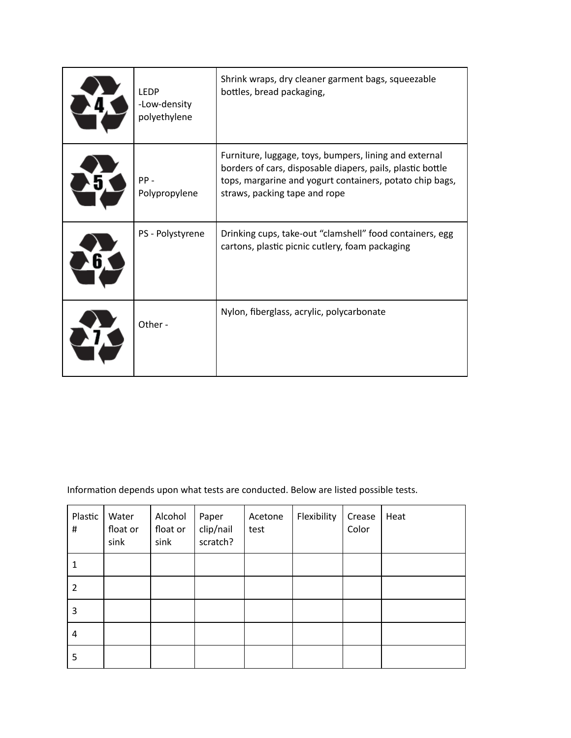| <b>LEDP</b><br>-Low-density<br>polyethylene | Shrink wraps, dry cleaner garment bags, squeezable<br>bottles, bread packaging,                                                                                                                                   |
|---------------------------------------------|-------------------------------------------------------------------------------------------------------------------------------------------------------------------------------------------------------------------|
| $PP -$<br>Polypropylene                     | Furniture, luggage, toys, bumpers, lining and external<br>borders of cars, disposable diapers, pails, plastic bottle<br>tops, margarine and yogurt containers, potato chip bags,<br>straws, packing tape and rope |
| PS - Polystyrene                            | Drinking cups, take-out "clamshell" food containers, egg<br>cartons, plastic picnic cutlery, foam packaging                                                                                                       |
| Other -                                     | Nylon, fiberglass, acrylic, polycarbonate                                                                                                                                                                         |

Information depends upon what tests are conducted. Below are listed possible tests.

| Plastic<br>#   | Water<br>float or<br>sink | Alcohol<br>float or<br>sink | Paper<br>clip/nail<br>scratch? | Acetone<br>test | Flexibility | Crease<br>Color | Heat |
|----------------|---------------------------|-----------------------------|--------------------------------|-----------------|-------------|-----------------|------|
| 1              |                           |                             |                                |                 |             |                 |      |
| $\overline{2}$ |                           |                             |                                |                 |             |                 |      |
| 3              |                           |                             |                                |                 |             |                 |      |
| 4              |                           |                             |                                |                 |             |                 |      |
| 5              |                           |                             |                                |                 |             |                 |      |